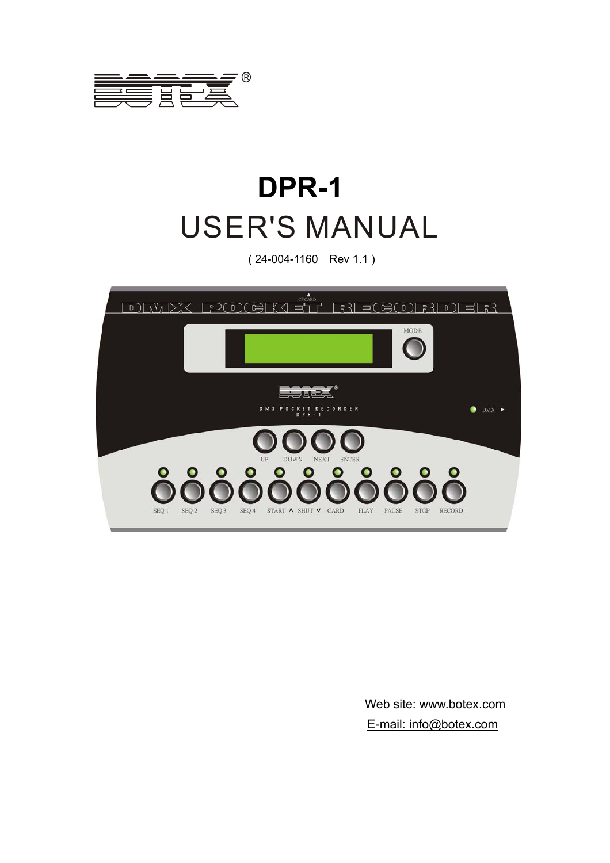

# **DPR-1** USER'S MANUAL

( 24-004-1160 Rev 1.1 )



Web site: www.botex.com E-mail: info@botex.com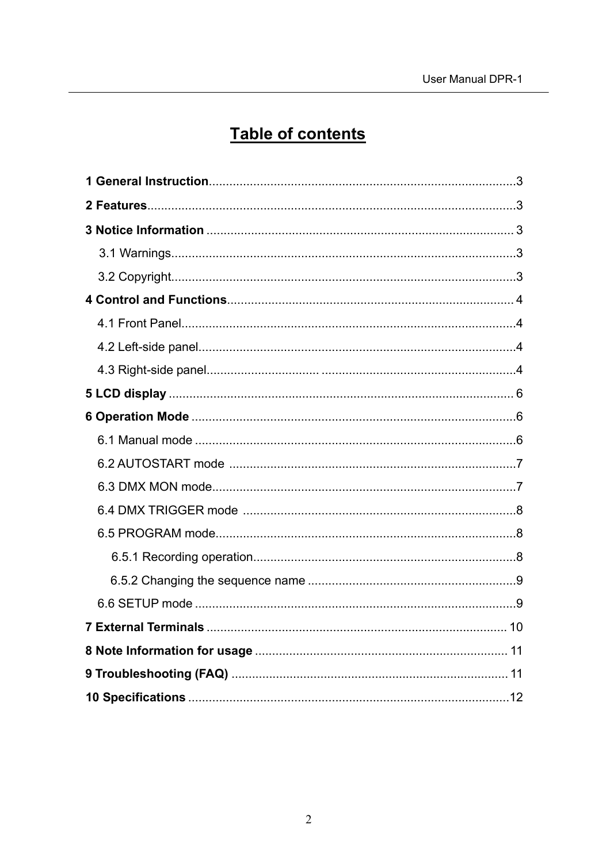# Table of contents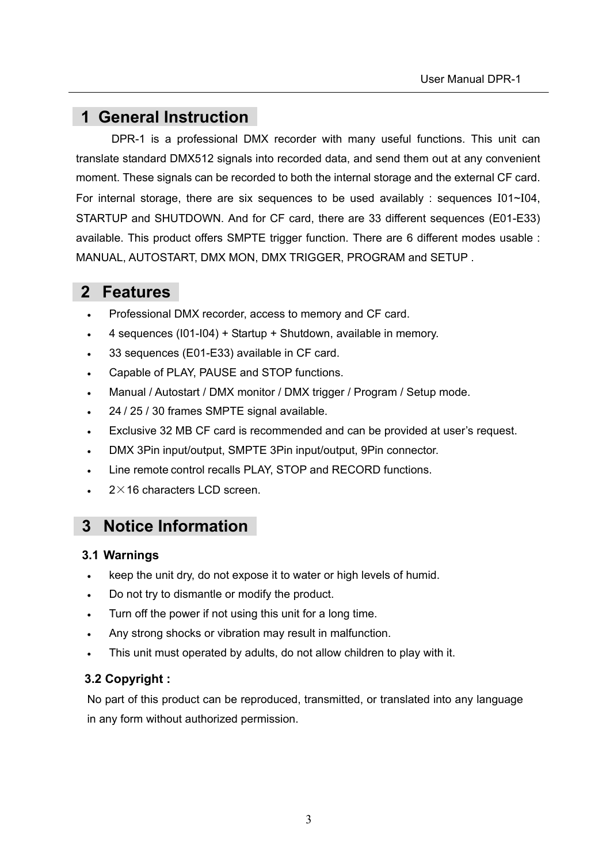# **1 General Instruction**

DPR-1 is a professional DMX recorder with many useful functions. This unit can translate standard DMX512 signals into recorded data, and send them out at any convenient moment. These signals can be recorded to both the internal storage and the external CF card. For internal storage, there are six sequences to be used availably : sequences I01~I04, STARTUP and SHUTDOWN. And for CF card, there are 33 different sequences (E01-E33) available. This product offers SMPTE trigger function. There are 6 different modes usable : MANUAL, AUTOSTART, DMX MON, DMX TRIGGER, PROGRAM and SETUP .

# **2 Features**

- Professional DMX recorder, access to memory and CF card.
- 4 sequences (I01-I04) + Startup + Shutdown, available in memory.
- 33 sequences (E01-E33) available in CF card.
- Capable of PLAY, PAUSE and STOP functions.
- Manual / Autostart / DMX monitor / DMX trigger / Program / Setup mode.
- 24 / 25 / 30 frames SMPTE signal available.
- Exclusive 32 MB CF card is recommended and can be provided at user's request.
- DMX 3Pin input/output, SMPTE 3Pin input/output, 9Pin connector.
- Line remote control recalls PLAY, STOP and RECORD functions.
- $2 \times 16$  characters LCD screen.

# **3 Notice Information**

#### **3.1 Warnings**

- keep the unit dry, do not expose it to water or high levels of humid.
- Do not try to dismantle or modify the product.
- Turn off the power if not using this unit for a long time.
- Any strong shocks or vibration may result in malfunction.
- This unit must operated by adults, do not allow children to play with it.

#### **3.2 Copyright :**

No part of this product can be reproduced, transmitted, or translated into any language in any form without authorized permission.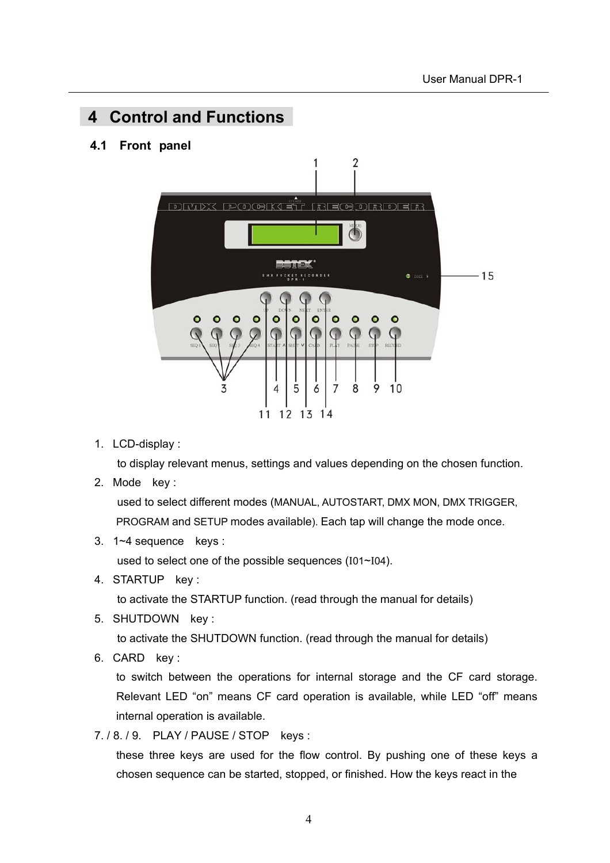# **4 Control and Functions**

#### **4.1 Front panel**



1. LCD-display :

to display relevant menus, settings and values depending on the chosen function.

2. Mode key :

 used to select different modes (MANUAL, AUTOSTART, DMX MON, DMX TRIGGER, PROGRAM and SETUP modes available). Each tap will change the mode once.

3. 1~4 sequence keys :

used to select one of the possible sequences (I01~I04).

4. STARTUP key :

to activate the STARTUP function. (read through the manual for details)

5. SHUTDOWN key :

to activate the SHUTDOWN function. (read through the manual for details)

6. CARD key :

to switch between the operations for internal storage and the CF card storage. Relevant LED "on" means CF card operation is available, while LED "off" means internal operation is available.

7. / 8. / 9. PLAY / PAUSE / STOP keys :

these three keys are used for the flow control. By pushing one of these keys a chosen sequence can be started, stopped, or finished. How the keys react in the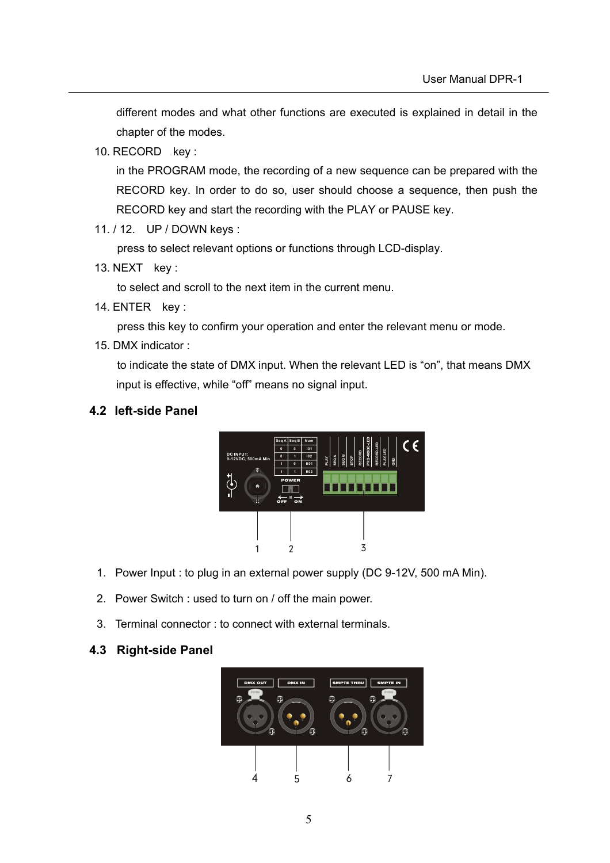different modes and what other functions are executed is explained in detail in the chapter of the modes.

10. RECORD key :

in the PROGRAM mode, the recording of a new sequence can be prepared with the RECORD key. In order to do so, user should choose a sequence, then push the RECORD key and start the recording with the PLAY or PAUSE key.

11. / 12. UP / DOWN keys :

press to select relevant options or functions through LCD-display.

13. NEXT key :

to select and scroll to the next item in the current menu.

14. ENTER key :

press this key to confirm your operation and enter the relevant menu or mode.

15. DMX indicator :

to indicate the state of DMX input. When the relevant LED is "on", that means DMX input is effective, while "off" means no signal input.

#### **4.2 left-side Panel**



- 1. Power Input : to plug in an external power supply (DC 9-12V, 500 mA Min).
- 2. Power Switch : used to turn on / off the main power.
- 3. Terminal connector : to connect with external terminals.

#### **4.3 Right-side Panel**

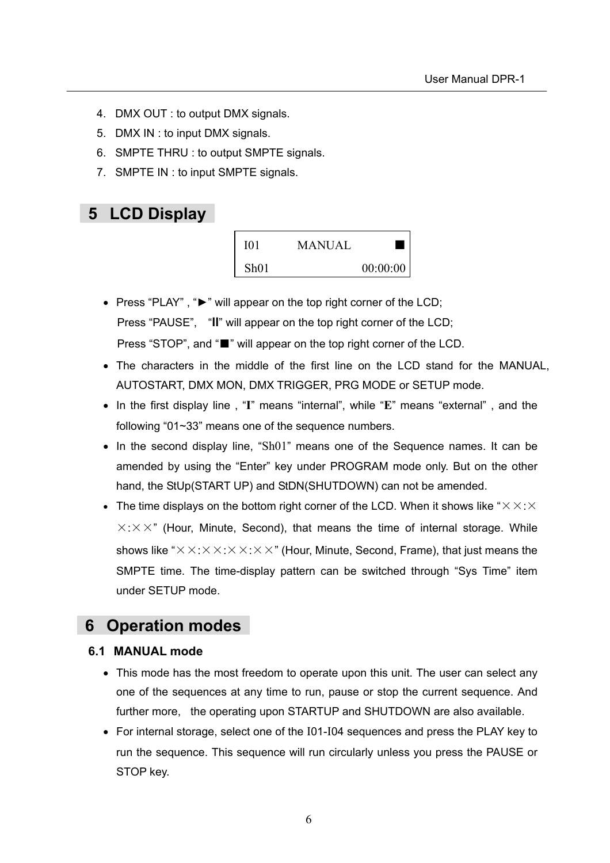- 4. DMX OUT : to output DMX signals.
- 5. DMX IN : to input DMX signals.
- 6. SMPTE THRU : to output SMPTE signals.
- 7. SMPTE IN : to input SMPTE signals.

## **5 LCD Display**



- Press "PLAY" , "►" will appear on the top right corner of the LCD; Press "PAUSE", "**ll**" will appear on the top right corner of the LCD; Press "STOP", and "■" will appear on the top right corner of the LCD.
- The characters in the middle of the first line on the LCD stand for the MANUAL, AUTOSTART, DMX MON, DMX TRIGGER, PRG MODE or SETUP mode.
- In the first display line , "**I**" means "internal", while "**E**" means "external" , and the following "01~33" means one of the sequence numbers.
- In the second display line, "Sh01" means one of the Sequence names. It can be amended by using the "Enter" key under PROGRAM mode only. But on the other hand, the StUp(START UP) and StDN(SHUTDOWN) can not be amended.
- The time displays on the bottom right corner of the LCD. When it shows like " $\times$   $\times$  :  $\times$  $\times$ : $\times$   $\times$ " (Hour, Minute, Second), that means the time of internal storage. While shows like " $\times$   $\times$ : $\times$   $\times$ : $\times$   $\times$ : $\times$   $\times$ " (Hour, Minute, Second, Frame), that just means the SMPTE time. The time-display pattern can be switched through "Sys Time" item under SETUP mode.

## **6 Operation modes**

#### **6.1 MANUAL mode**

- This mode has the most freedom to operate upon this unit. The user can select any one of the sequences at any time to run, pause or stop the current sequence. And further more, the operating upon STARTUP and SHUTDOWN are also available.
- For internal storage, select one of the I01-I04 sequences and press the PLAY key to run the sequence. This sequence will run circularly unless you press the PAUSE or STOP key.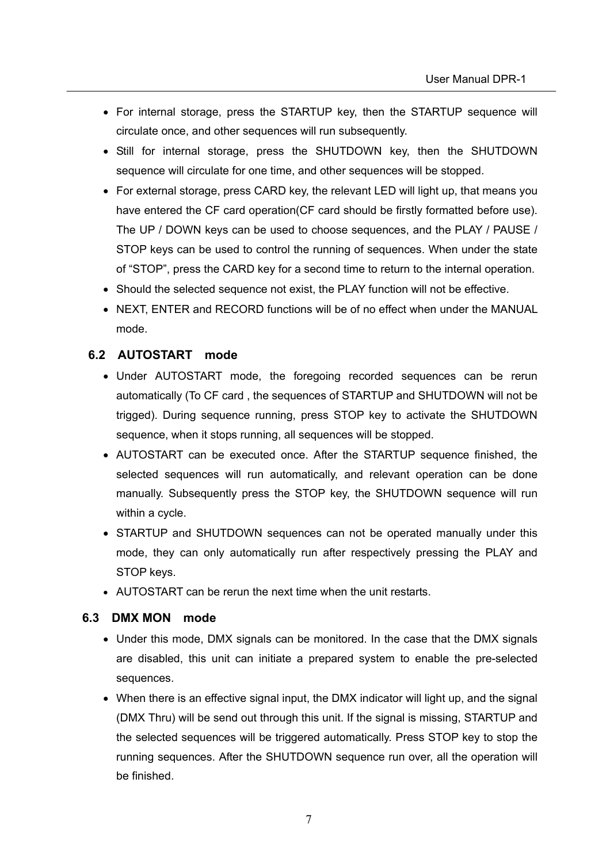- For internal storage, press the STARTUP key, then the STARTUP sequence will circulate once, and other sequences will run subsequently.
- Still for internal storage, press the SHUTDOWN key, then the SHUTDOWN sequence will circulate for one time, and other sequences will be stopped.
- For external storage, press CARD key, the relevant LED will light up, that means you have entered the CF card operation(CF card should be firstly formatted before use). The UP / DOWN keys can be used to choose sequences, and the PLAY / PAUSE / STOP keys can be used to control the running of sequences. When under the state of "STOP", press the CARD key for a second time to return to the internal operation.
- Should the selected sequence not exist, the PLAY function will not be effective.
- NEXT, ENTER and RECORD functions will be of no effect when under the MANUAL mode.

#### **6.2 AUTOSTART mode**

- Under AUTOSTART mode, the foregoing recorded sequences can be rerun automatically (To CF card , the sequences of STARTUP and SHUTDOWN will not be trigged). During sequence running, press STOP key to activate the SHUTDOWN sequence, when it stops running, all sequences will be stopped.
- AUTOSTART can be executed once. After the STARTUP sequence finished, the selected sequences will run automatically, and relevant operation can be done manually. Subsequently press the STOP key, the SHUTDOWN sequence will run within a cycle.
- STARTUP and SHUTDOWN sequences can not be operated manually under this mode, they can only automatically run after respectively pressing the PLAY and STOP keys.
- AUTOSTART can be rerun the next time when the unit restarts.

#### **6.3 DMX MON mode**

- Under this mode, DMX signals can be monitored. In the case that the DMX signals are disabled, this unit can initiate a prepared system to enable the pre-selected sequences.
- When there is an effective signal input, the DMX indicator will light up, and the signal (DMX Thru) will be send out through this unit. If the signal is missing, STARTUP and the selected sequences will be triggered automatically. Press STOP key to stop the running sequences. After the SHUTDOWN sequence run over, all the operation will be finished.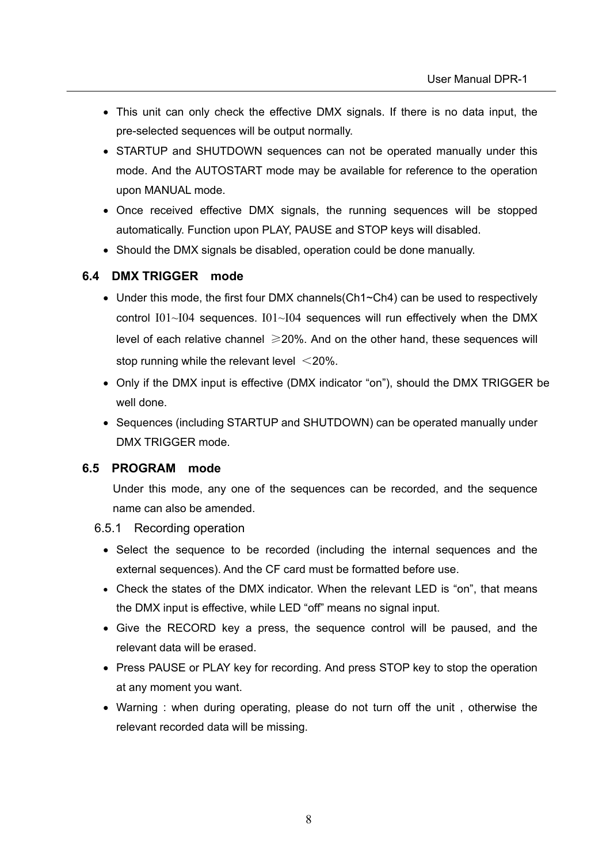- This unit can only check the effective DMX signals. If there is no data input, the pre-selected sequences will be output normally.
- STARTUP and SHUTDOWN sequences can not be operated manually under this mode. And the AUTOSTART mode may be available for reference to the operation upon MANUAL mode.
- Once received effective DMX signals, the running sequences will be stopped automatically. Function upon PLAY, PAUSE and STOP keys will disabled.
- Should the DMX signals be disabled, operation could be done manually.

#### **6.4 DMX TRIGGER mode**

- Under this mode, the first four DMX channels(Ch1~Ch4) can be used to respectively control  $I01~I04$  sequences.  $I01~I04$  sequences will run effectively when the DMX level of each relative channel  $\geq 20\%$ . And on the other hand, these sequences will stop running while the relevant level  $\leq$ 20%.
- Only if the DMX input is effective (DMX indicator "on"), should the DMX TRIGGER be well done.
- Sequences (including STARTUP and SHUTDOWN) can be operated manually under DMX TRIGGER mode.

#### **6.5 PROGRAM mode**

Under this mode, any one of the sequences can be recorded, and the sequence name can also be amended.

- 6.5.1 Recording operation
	- Select the sequence to be recorded (including the internal sequences and the external sequences). And the CF card must be formatted before use.
	- Check the states of the DMX indicator. When the relevant LED is "on", that means the DMX input is effective, while LED "off" means no signal input.
	- Give the RECORD key a press, the sequence control will be paused, and the relevant data will be erased.
	- Press PAUSE or PLAY key for recording. And press STOP key to stop the operation at any moment you want.
	- Warning : when during operating, please do not turn off the unit , otherwise the relevant recorded data will be missing.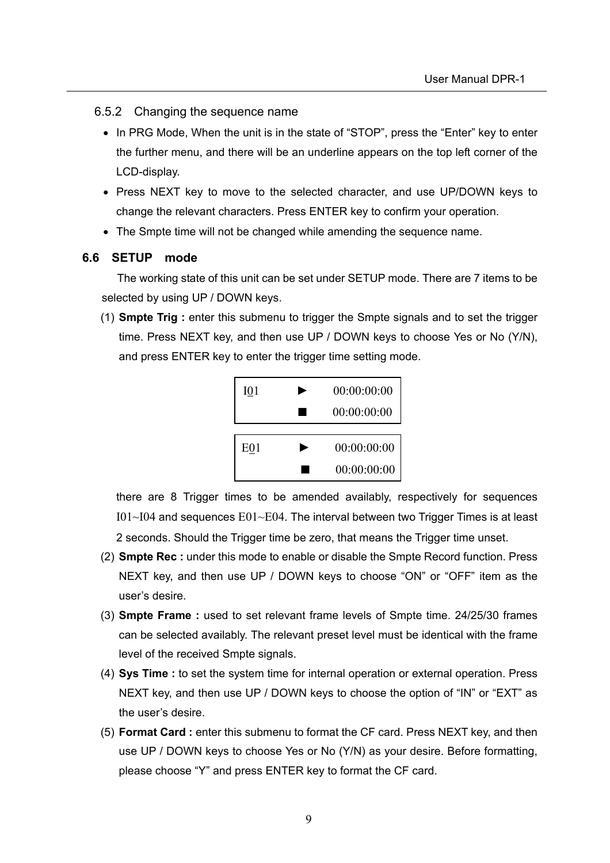- 6.5.2 Changing the sequence name
	- In PRG Mode, When the unit is in the state of "STOP", press the "Enter" key to enter the further menu, and there will be an underline appears on the top left corner of the LCD-display.
	- Press NEXT key to move to the selected character, and use UP/DOWN keys to change the relevant characters. Press ENTER key to confirm your operation.
	- The Smpte time will not be changed while amending the sequence name.

#### **6.6 SETUP mode**

 The working state of this unit can be set under SETUP mode. There are 7 items to be selected by using UP / DOWN keys.

(1) **Smpte Trig :** enter this submenu to trigger the Smpte signals and to set the trigger time. Press NEXT key, and then use UP / DOWN keys to choose Yes or No (Y/N), and press ENTER key to enter the trigger time setting mode.



there are 8 Trigger times to be amended availably, respectively for sequences  $I01~I04$  and sequences  $E01~E04$ . The interval between two Trigger Times is at least 2 seconds. Should the Trigger time be zero, that means the Trigger time unset.

- (2) **Smpte Rec :** under this mode to enable or disable the Smpte Record function. Press NEXT key, and then use UP / DOWN keys to choose "ON" or "OFF" item as the user's desire.
- (3) **Smpte Frame :** used to set relevant frame levels of Smpte time. 24/25/30 frames can be selected availably. The relevant preset level must be identical with the frame level of the received Smpte signals.
- (4) **Sys Time :** to set the system time for internal operation or external operation. Press NEXT key, and then use UP / DOWN keys to choose the option of "IN" or "EXT" as the user's desire.
- (5) **Format Card :** enter this submenu to format the CF card. Press NEXT key, and then use UP / DOWN keys to choose Yes or No (Y/N) as your desire. Before formatting, please choose "Y" and press ENTER key to format the CF card.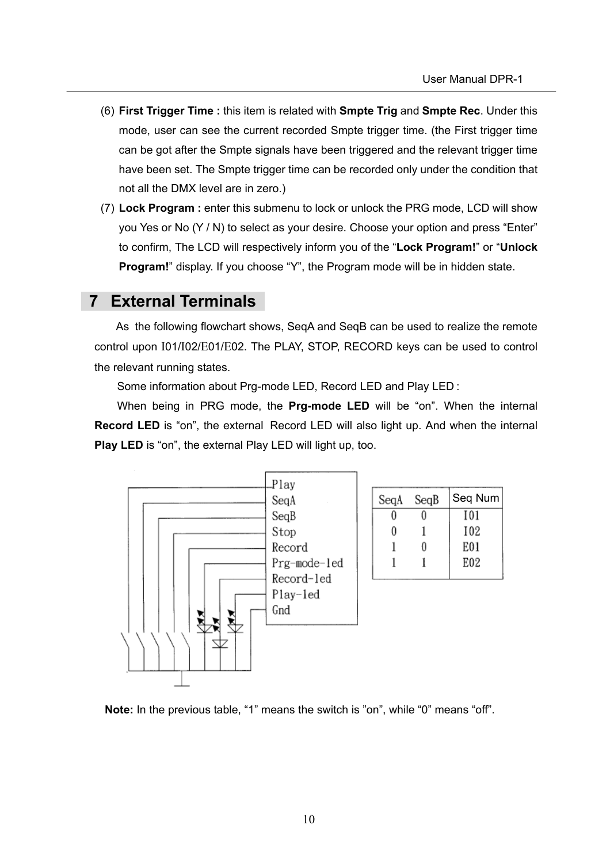- (6) **First Trigger Time :** this item is related with **Smpte Trig** and **Smpte Rec**. Under this mode, user can see the current recorded Smpte trigger time. (the First trigger time can be got after the Smpte signals have been triggered and the relevant trigger time have been set. The Smpte trigger time can be recorded only under the condition that not all the DMX level are in zero.)
- (7) **Lock Program :** enter this submenu to lock or unlock the PRG mode, LCD will show you Yes or No (Y / N) to select as your desire. Choose your option and press "Enter" to confirm, The LCD will respectively inform you of the "**Lock Program!**" or "**Unlock Program!**" display. If you choose "Y", the Program mode will be in hidden state.

## **7 External Terminals**

 As the following flowchart shows, SeqA and SeqB can be used to realize the remote control upon I01/I02/E01/E02. The PLAY, STOP, RECORD keys can be used to control the relevant running states.

Some information about Prg-mode LED, Record LED and Play LED :

 When being in PRG mode, the **Prg-mode LED** will be "on". When the internal **Record LED** is "on", the external Record LED will also light up. And when the internal **Play LED** is "on", the external Play LED will light up, too.



**Note:** In the previous table, "1" means the switch is "on", while "0" means "off".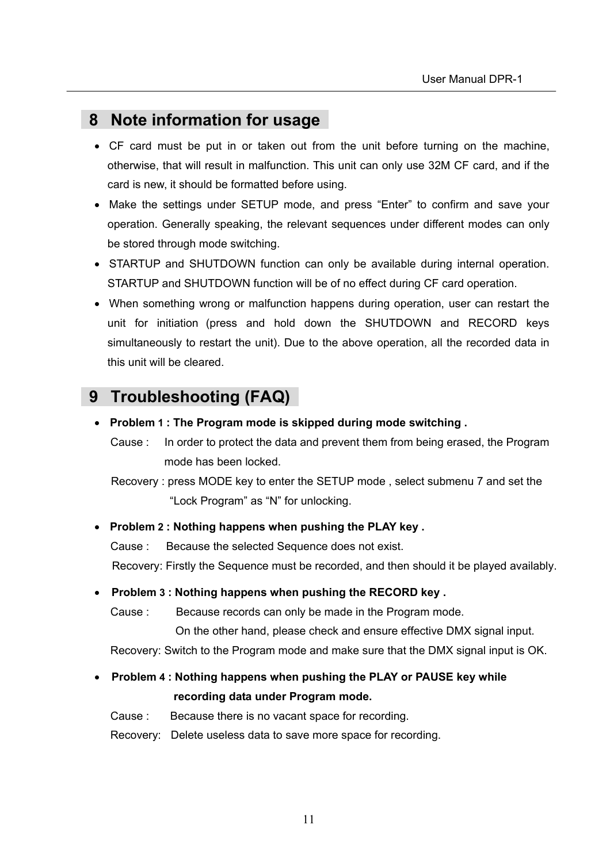## **8 Note information for usage**

- CF card must be put in or taken out from the unit before turning on the machine, otherwise, that will result in malfunction. This unit can only use 32M CF card, and if the card is new, it should be formatted before using.
- Make the settings under SETUP mode, and press "Enter" to confirm and save your operation. Generally speaking, the relevant sequences under different modes can only be stored through mode switching.
- STARTUP and SHUTDOWN function can only be available during internal operation. STARTUP and SHUTDOWN function will be of no effect during CF card operation.
- When something wrong or malfunction happens during operation, user can restart the unit for initiation (press and hold down the SHUTDOWN and RECORD keys simultaneously to restart the unit). Due to the above operation, all the recorded data in this unit will be cleared.

## **9 Troubleshooting (FAQ)**

- **Problem 1 : The Program mode is skipped during mode switching .**
	- Cause : In order to protect the data and prevent them from being erased, the Program mode has been locked.

 Recovery : press MODE key to enter the SETUP mode , select submenu 7 and set the "Lock Program" as "N" for unlocking.

#### • **Problem 2 : Nothing happens when pushing the PLAY key .**

Cause : Because the selected Sequence does not exist.

Recovery: Firstly the Sequence must be recorded, and then should it be played availably.

#### • **Problem 3 : Nothing happens when pushing the RECORD key .**

Cause : Because records can only be made in the Program mode.

On the other hand, please check and ensure effective DMX signal input.

Recovery: Switch to the Program mode and make sure that the DMX signal input is OK.

### • **Problem 4 : Nothing happens when pushing the PLAY or PAUSE key while recording data under Program mode.**

Cause : Because there is no vacant space for recording.

Recovery: Delete useless data to save more space for recording.